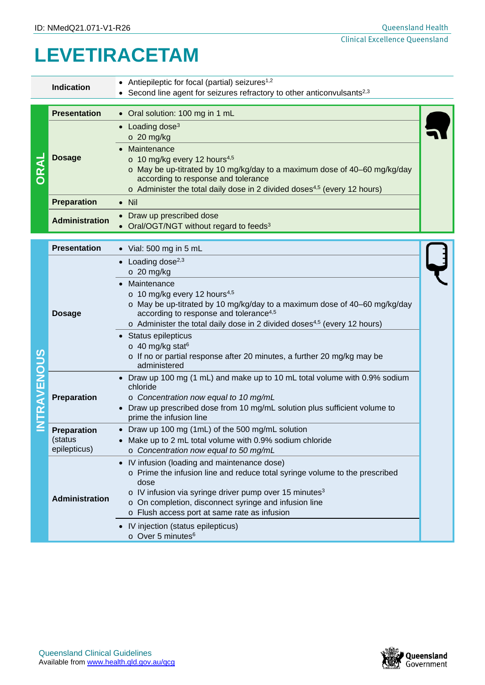## **LEVETIRACETAM**

|                  | <b>Indication</b>                             | Antiepileptic for focal (partial) seizures <sup>1,2</sup><br>Second line agent for seizures refractory to other anticonvulsants <sup>2,3</sup>                                                                                                                                                                                                                                                                                                                                                         |  |  |
|------------------|-----------------------------------------------|--------------------------------------------------------------------------------------------------------------------------------------------------------------------------------------------------------------------------------------------------------------------------------------------------------------------------------------------------------------------------------------------------------------------------------------------------------------------------------------------------------|--|--|
| DRAL             | <b>Presentation</b>                           | • Oral solution: 100 mg in 1 mL                                                                                                                                                                                                                                                                                                                                                                                                                                                                        |  |  |
|                  | <b>Dosage</b>                                 | $\bullet$ Loading dose <sup>3</sup><br>$\circ$ 20 mg/kg<br>Maintenance<br>$\circ$ 10 mg/kg every 12 hours <sup>4,5</sup><br>o May be up-titrated by 10 mg/kg/day to a maximum dose of 40-60 mg/kg/day<br>according to response and tolerance<br>$\circ$ Administer the total daily dose in 2 divided doses <sup>4,5</sup> (every 12 hours)                                                                                                                                                             |  |  |
|                  | <b>Preparation</b>                            | $\bullet$ Nil                                                                                                                                                                                                                                                                                                                                                                                                                                                                                          |  |  |
|                  | <b>Administration</b>                         | • Draw up prescribed dose<br>Oral/OGT/NGT without regard to feeds <sup>3</sup>                                                                                                                                                                                                                                                                                                                                                                                                                         |  |  |
| <b>TRAVENOUS</b> | <b>Presentation</b>                           | $\bullet$ Vial: 500 mg in 5 mL                                                                                                                                                                                                                                                                                                                                                                                                                                                                         |  |  |
|                  | <b>Dosage</b>                                 | Loading dose $2,3$<br>$\circ$ 20 mg/kg<br>Maintenance<br>$\bullet$<br>$\circ$ 10 mg/kg every 12 hours <sup>4,5</sup><br>o May be up-titrated by 10 mg/kg/day to a maximum dose of 40-60 mg/kg/day<br>according to response and tolerance <sup>4,5</sup><br>o Administer the total daily dose in 2 divided doses <sup>4,5</sup> (every 12 hours)<br>Status epilepticus<br>$\circ$ 40 mg/kg stat <sup>6</sup><br>o If no or partial response after 20 minutes, a further 20 mg/kg may be<br>administered |  |  |
|                  | Preparation                                   | • Draw up 100 mg (1 mL) and make up to 10 mL total volume with 0.9% sodium<br>chloride<br>o Concentration now equal to 10 mg/mL<br>Draw up prescribed dose from 10 mg/mL solution plus sufficient volume to<br>prime the infusion line                                                                                                                                                                                                                                                                 |  |  |
|                  | <b>Preparation</b><br>(status<br>epilepticus) | Draw up 100 mg (1mL) of the 500 mg/mL solution<br>Make up to 2 mL total volume with 0.9% sodium chloride<br>o Concentration now equal to 50 mg/mL                                                                                                                                                                                                                                                                                                                                                      |  |  |
|                  | Administration                                | • IV infusion (loading and maintenance dose)<br>o Prime the infusion line and reduce total syringe volume to the prescribed<br>dose<br>$\circ$ IV infusion via syringe driver pump over 15 minutes <sup>3</sup><br>o On completion, disconnect syringe and infusion line<br>o Flush access port at same rate as infusion<br>IV injection (status epilepticus)<br>o Over 5 minutes <sup>6</sup>                                                                                                         |  |  |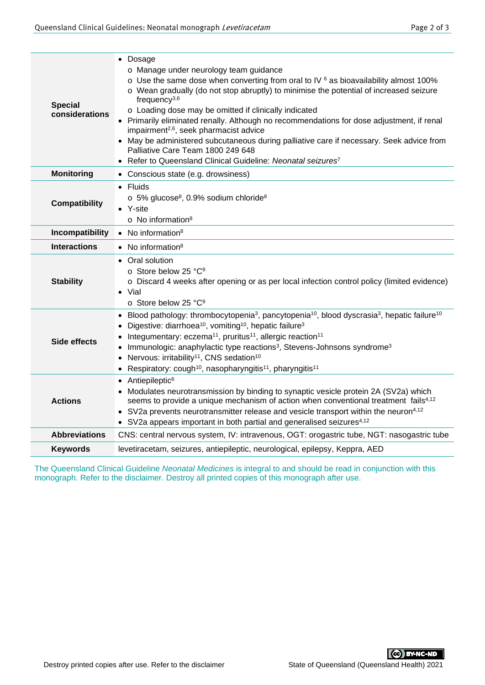| <b>Special</b><br>considerations | • Dosage<br>o Manage under neurology team guidance<br>$\circ$ Use the same dose when converting from oral to IV $6$ as bioavailability almost 100%<br>o Wean gradually (do not stop abruptly) to minimise the potential of increased seizure<br>frequency $3,6$<br>o Loading dose may be omitted if clinically indicated<br>• Primarily eliminated renally. Although no recommendations for dose adjustment, if renal<br>impairment <sup>2,6</sup> , seek pharmacist advice<br>• May be administered subcutaneous during palliative care if necessary. Seek advice from<br>Palliative Care Team 1800 249 648<br>• Refer to Queensland Clinical Guideline: Neonatal seizures <sup>7</sup> |  |  |  |
|----------------------------------|------------------------------------------------------------------------------------------------------------------------------------------------------------------------------------------------------------------------------------------------------------------------------------------------------------------------------------------------------------------------------------------------------------------------------------------------------------------------------------------------------------------------------------------------------------------------------------------------------------------------------------------------------------------------------------------|--|--|--|
| <b>Monitoring</b>                | • Conscious state (e.g. drowsiness)                                                                                                                                                                                                                                                                                                                                                                                                                                                                                                                                                                                                                                                      |  |  |  |
| <b>Compatibility</b>             | Fluids<br>$\circ$ 5% glucose <sup>8</sup> , 0.9% sodium chloride <sup>8</sup><br>Y-site<br>o No information <sup>8</sup>                                                                                                                                                                                                                                                                                                                                                                                                                                                                                                                                                                 |  |  |  |
| Incompatibility                  | $\bullet$ No information <sup>8</sup>                                                                                                                                                                                                                                                                                                                                                                                                                                                                                                                                                                                                                                                    |  |  |  |
| <b>Interactions</b>              | • No information <sup>8</sup>                                                                                                                                                                                                                                                                                                                                                                                                                                                                                                                                                                                                                                                            |  |  |  |
| <b>Stability</b>                 | • Oral solution<br>o Store below 25 °C <sup>9</sup><br>o Discard 4 weeks after opening or as per local infection control policy (limited evidence)<br>$\bullet$ Vial<br>o Store below 25 °C9                                                                                                                                                                                                                                                                                                                                                                                                                                                                                             |  |  |  |
| <b>Side effects</b>              | Blood pathology: thrombocytopenia <sup>3</sup> , pancytopenia <sup>10</sup> , blood dyscrasia <sup>3</sup> , hepatic failure <sup>10</sup><br>Digestive: diarrhoea <sup>10</sup> , vomiting <sup>10</sup> , hepatic failure <sup>3</sup><br>Integumentary: eczema <sup>11</sup> , pruritus <sup>11</sup> , allergic reaction <sup>11</sup><br>Immunologic: anaphylactic type reactions <sup>3</sup> , Stevens-Johnsons syndrome <sup>3</sup><br>$\bullet$<br>Nervous: irritability <sup>11</sup> , CNS sedation <sup>10</sup><br>$\bullet$<br>Respiratory: cough <sup>10</sup> , nasopharyngitis <sup>11</sup> , pharyngitis <sup>11</sup><br>$\bullet$                                  |  |  |  |
| <b>Actions</b>                   | Antiepileptic <sup>6</sup><br>$\bullet$<br>Modulates neurotransmission by binding to synaptic vesicle protein 2A (SV2a) which<br>seems to provide a unique mechanism of action when conventional treatment fails <sup>4,12</sup><br>• SV2a prevents neurotransmitter release and vesicle transport within the neuron <sup>4,12</sup><br>• SV2a appears important in both partial and generalised seizures <sup>4,12</sup>                                                                                                                                                                                                                                                                |  |  |  |
| <b>Abbreviations</b>             | CNS: central nervous system, IV: intravenous, OGT: orogastric tube, NGT: nasogastric tube                                                                                                                                                                                                                                                                                                                                                                                                                                                                                                                                                                                                |  |  |  |
| <b>Keywords</b>                  | levetiracetam, seizures, antiepileptic, neurological, epilepsy, Keppra, AED                                                                                                                                                                                                                                                                                                                                                                                                                                                                                                                                                                                                              |  |  |  |

The Queensland Clinical Guideline *Neonatal Medicines* is integral to and should be read in conjunction with this monograph. Refer to the disclaimer. Destroy all printed copies of this monograph after use.